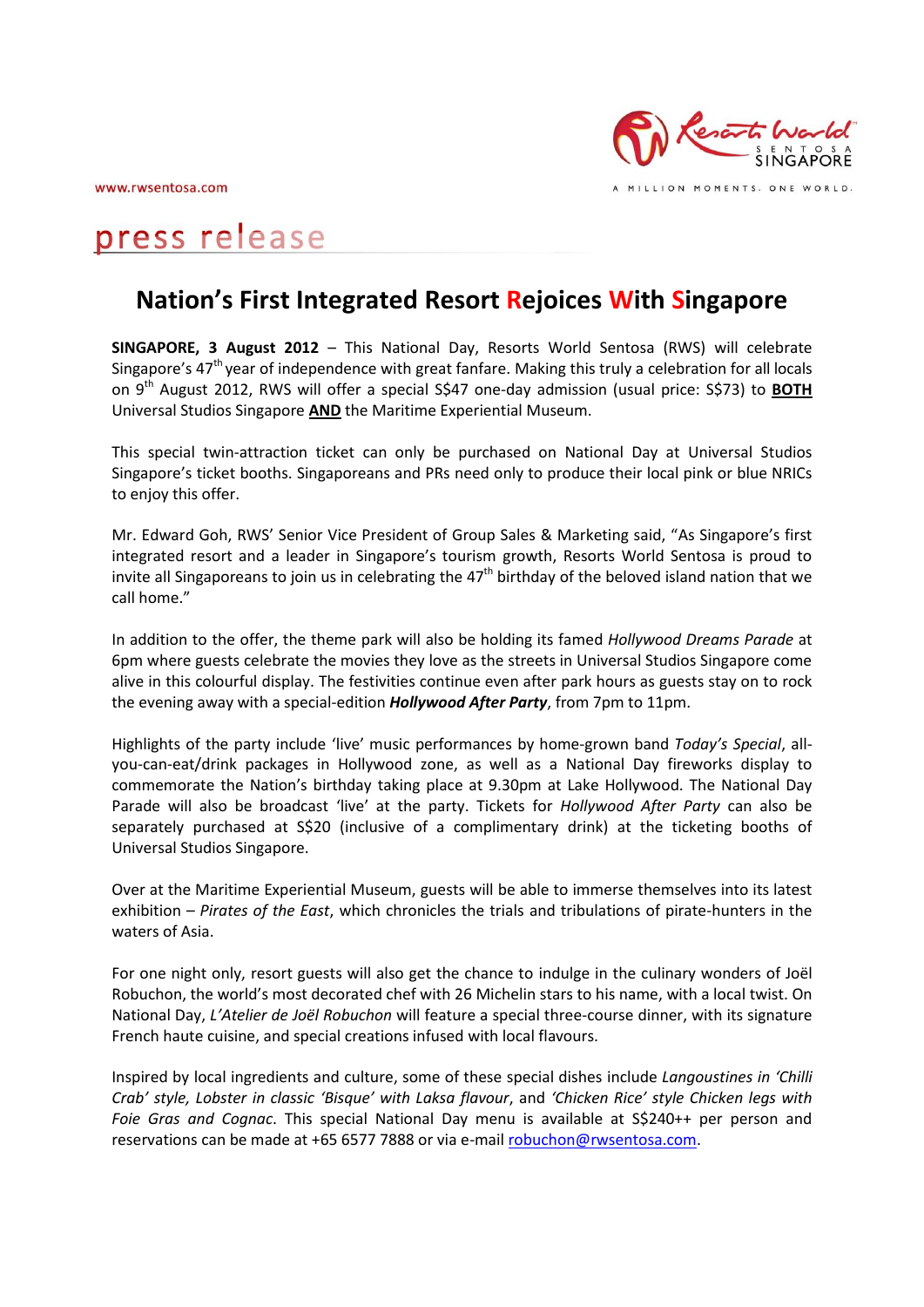www.rwsentosa.com



MILLION MOMENTS. ONE WORLD.

# press release

# **Nation's First Integrated Resort Rejoices With Singapore**

**SINGAPORE, 3 August 2012** – This National Day, Resorts World Sentosa (RWS) will celebrate Singapore's  $47<sup>th</sup>$  year of independence with great fanfare. Making this truly a celebration for all locals on 9<sup>th</sup> August 2012, RWS will offer a special S\$47 one-day admission (usual price: S\$73) to **BOTH** Universal Studios Singapore **AND** the Maritime Experiential Museum.

This special twin-attraction ticket can only be purchased on National Day at Universal Studios Singapore's ticket booths. Singaporeans and PRs need only to produce their local pink or blue NRICs to enjoy this offer.

Mr. Edward Goh, RWS' Senior Vice President of Group Sales & Marketing said, "As Singapore's first integrated resort and a leader in Singapore's tourism growth, Resorts World Sentosa is proud to invite all Singaporeans to join us in celebrating the  $47<sup>th</sup>$  birthday of the beloved island nation that we call home."

In addition to the offer, the theme park will also be holding its famed *Hollywood Dreams Parade* at 6pm where guests celebrate the movies they love as the streets in Universal Studios Singapore come alive in this colourful display. The festivities continue even after park hours as guests stay on to rock the evening away with a special-edition *Hollywood After Party*, from 7pm to 11pm.

Highlights of the party include 'live' music performances by home-grown band *Today's Special*, allyou-can-eat/drink packages in Hollywood zone, as well as a National Day fireworks display to commemorate the Nation's birthday taking place at 9.30pm at Lake Hollywood. The National Day Parade will also be broadcast 'live' at the party. Tickets for *Hollywood After Party* can also be separately purchased at S\$20 (inclusive of a complimentary drink) at the ticketing booths of Universal Studios Singapore.

Over at the Maritime Experiential Museum, guests will be able to immerse themselves into its latest exhibition – *Pirates of the East*, which chronicles the trials and tribulations of pirate-hunters in the waters of Asia.

For one night only, resort guests will also get the chance to indulge in the culinary wonders of Joël Robuchon, the world's most decorated chef with 26 Michelin stars to his name, with a local twist. On National Day, *L'Atelier de Joël Robuchon* will feature a special three-course dinner, with its signature French haute cuisine, and special creations infused with local flavours.

Inspired by local ingredients and culture, some of these special dishes include *Langoustines in 'Chilli Crab' style, Lobster in classic 'Bisque' with Laksa flavour*, and *'Chicken Rice' style Chicken legs with Foie Gras and Cognac*. This special National Day menu is available at S\$240++ per person and reservations can be made at +65 6577 7888 or via e-mai[l robuchon@rwsentosa.com.](mailto:robuchon@rwsentosa.com)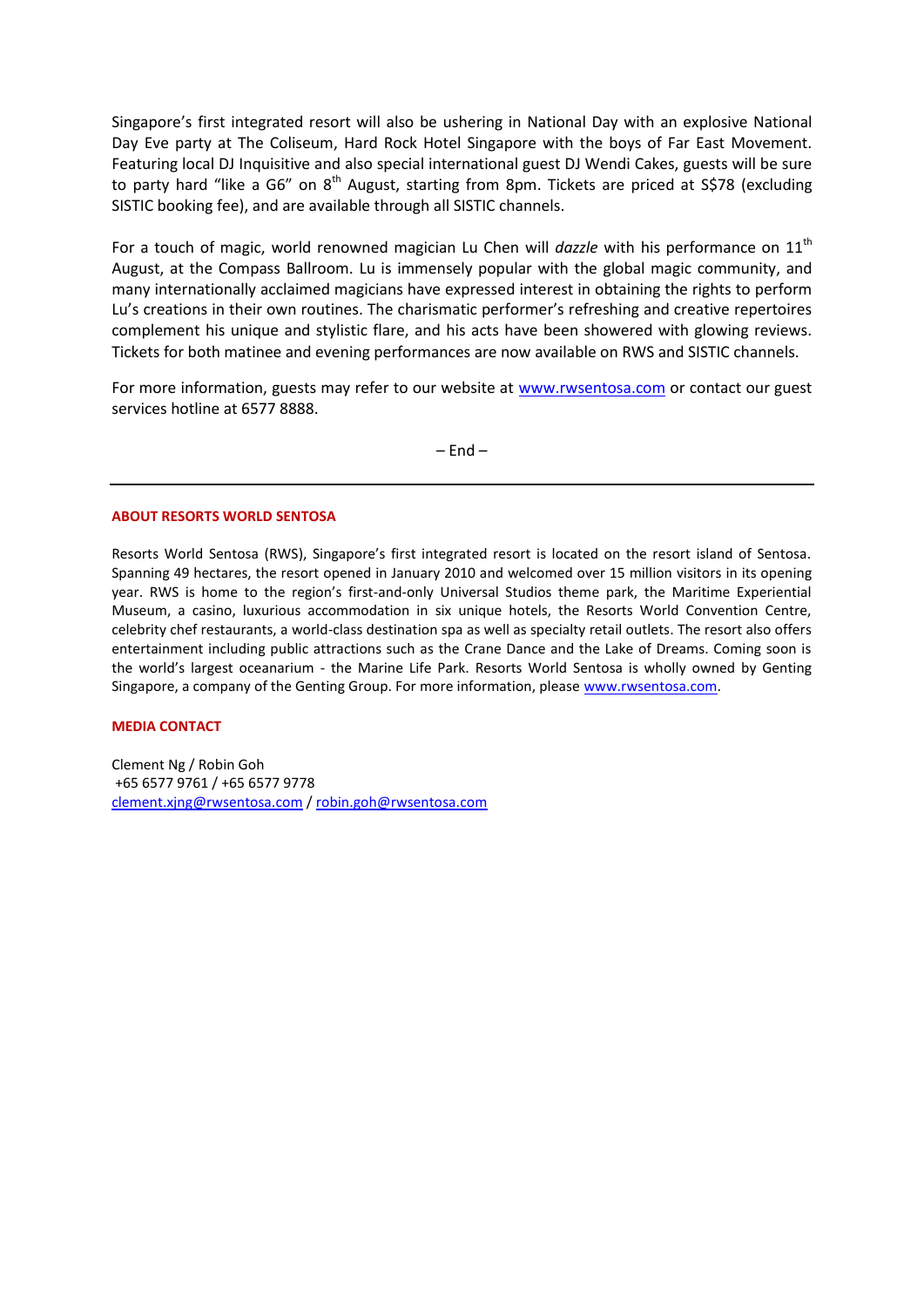Singapore's first integrated resort will also be ushering in National Day with an explosive National Day Eve party at The Coliseum, Hard Rock Hotel Singapore with the boys of Far East Movement. Featuring local DJ Inquisitive and also special international guest DJ Wendi Cakes, guests will be sure to party hard "like a G6" on  $8<sup>th</sup>$  August, starting from 8pm. Tickets are priced at S\$78 (excluding SISTIC booking fee), and are available through all SISTIC channels.

For a touch of magic, world renowned magician Lu Chen will *dazzle* with his performance on 11<sup>th</sup> August, at the Compass Ballroom. Lu is immensely popular with the global magic community, and many internationally acclaimed magicians have expressed interest in obtaining the rights to perform Lu's creations in their own routines. The charismatic performer's refreshing and creative repertoires complement his unique and stylistic flare, and his acts have been showered with glowing reviews. Tickets for both matinee and evening performances are now available on RWS and SISTIC channels.

For more information, guests may refer to our website at [www.rwsentosa.com](http://www.rwsentosa.com/) or contact our guest services hotline at 6577 8888.

 $-$  End  $-$ 

#### **ABOUT RESORTS WORLD SENTOSA**

Resorts World Sentosa (RWS), Singapore's first integrated resort is located on the resort island of Sentosa. Spanning 49 hectares, the resort opened in January 2010 and welcomed over 15 million visitors in its opening year. RWS is home to the region's first-and-only Universal Studios theme park, the Maritime Experiential Museum, a casino, luxurious accommodation in six unique hotels, the Resorts World Convention Centre, celebrity chef restaurants, a world-class destination spa as well as specialty retail outlets. The resort also offers entertainment including public attractions such as the Crane Dance and the Lake of Dreams. Coming soon is the world's largest oceanarium - the Marine Life Park. Resorts World Sentosa is wholly owned by Genting Singapore, a company of the Genting Group. For more information, please [www.rwsentosa.com.](http://www.rwsentosa.com/)

## **MEDIA CONTACT**

Clement Ng / Robin Goh +65 6577 9761 / +65 6577 9778 [clement.xjng@rwsentosa.com](mailto:clement.xjng@rwsentosa.com) [/ robin.goh@rwsentosa.com](mailto:robin.goh@rwsentosa.com)